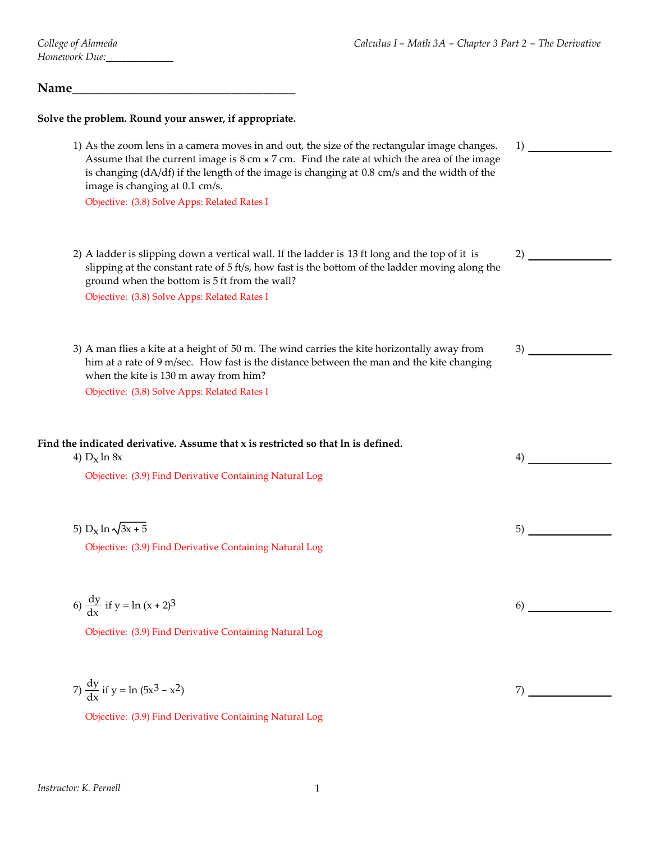#### Name

#### **Solve the problem. Round your answer, if appropriate.**

1) As the zoom lens in a camera moves in and out, the size of the rectangular image changes. Assume that the current image is  $8 \text{ cm} \times 7 \text{ cm}$ . Find the rate at which the area of the image is changing (dA/df) if the length of the image is changing at 0.8 cm/s and the width of the image is changing at 0.1 cm/s. 1) Objective: (3.8) Solve Apps: Related Rates I 2) A ladder is slipping down a vertical wall. If the ladder is 13 ft long and the top of it is slipping at the constant rate of 5 ft/s, how fast is the bottom of the ladder moving along the ground when the bottom is 5 ft from the wall? 2) Objective: (3.8) Solve Apps: Related Rates I 3) A man flies a kite at a height of 50 m. The wind carries the kite horizontally away from him at a rate of 9 m/sec. How fast is the distance between the man and the kite changing when the kite is 130 m away from him? 3) Objective: (3.8) Solve Apps: Related Rates I **Find the indicated derivative. Assume that x is restricted so that ln is defined.** 4)  $D_x \ln 8x$  4) Objective: (3.9) Find Derivative Containing Natural Log 5)  $D_x \ln \sqrt{3x + 5}$  5) Objective: (3.9) Find Derivative Containing Natural Log

$$
6) \frac{dy}{dx} if y = \ln(x+2)^3
$$

Objective: (3.9) Find Derivative Containing Natural Log

7) 
$$
\frac{dy}{dx}
$$
 if y = ln (5x<sup>3</sup> - x<sup>2</sup>)

Objective: (3.9) Find Derivative Containing Natural Log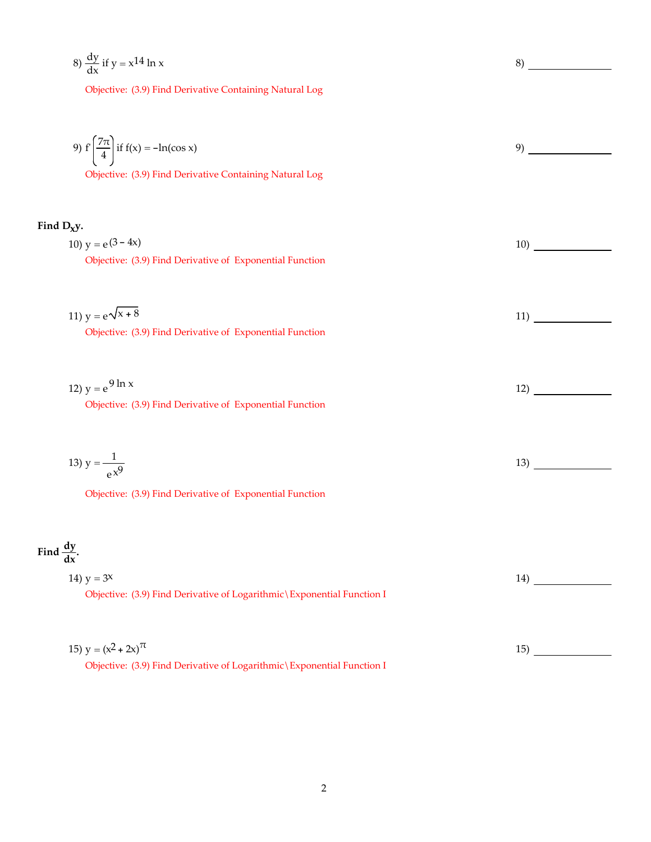$$
8) \frac{dy}{dx} if y = x^{14} \ln x
$$

Objective: (3.9) Find Derivative Containing Natural Log

9) 
$$
f\left(\frac{7\pi}{4}\right)
$$
 if  $f(x) = -\ln(\cos x)$   
\n9)

### **Find Dxy.**

10)  $y = e^{(3-4x)}$  10) Objective: (3.9) Find Derivative of Exponential Function

| 11) $y = e^{\sqrt{x} + 8}$                               |  |
|----------------------------------------------------------|--|
| Objective: (3.9) Find Derivative of Exponential Function |  |

| 12) $y = e^{9 \ln x}$                                    |  |
|----------------------------------------------------------|--|
| Objective: (3.9) Find Derivative of Exponential Function |  |

| 12 <sub>2</sub><br>$13)$ ,<br>$v = \frac{\overline{a}}{\overline{b}}$ |  |
|-----------------------------------------------------------------------|--|
| $\sim$<br>$\mathbf{A}$                                                |  |

Objective: (3.9) Find Derivative of Exponential Function

# Find  $\frac{dy}{dx}$ .

| 14) $y = 3^x$                                                            | $14^{\circ}$ |
|--------------------------------------------------------------------------|--------------|
| Objective: (3.9) Find Derivative of Logarithmic \ Exponential Function I |              |
|                                                                          |              |
|                                                                          |              |

| 15) $y = (x^2 + 2x)^{\pi}$                                               |  |
|--------------------------------------------------------------------------|--|
| Objective: (3.9) Find Derivative of Logarithmic \ Exponential Function I |  |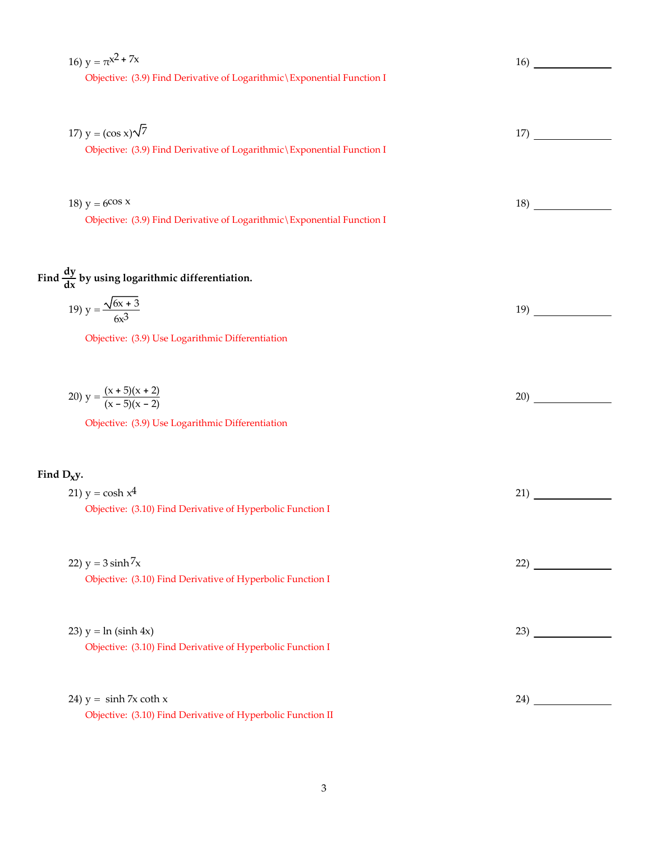| Objective: (3.9) Find Derivative of Logarithmic \ Exponential Function I<br>17) $y = (\cos x)\sqrt{7}$<br>17)<br>Objective: (3.9) Find Derivative of Logarithmic \ Exponential Function I<br>18) $y = 6$ cos x<br>18)<br>Objective: (3.9) Find Derivative of Logarithmic \ Exponential Function I<br>Find $\frac{dy}{dx}$ by using logarithmic differentiation.<br>19) $y = \frac{\sqrt{6x + 3}}{6x^3}$<br>19)<br>Objective: (3.9) Use Logarithmic Differentiation<br>20) $y = \frac{(x + 5)(x + 2)}{(x - 5)(x - 2)}$<br>20)<br>Objective: (3.9) Use Logarithmic Differentiation<br>Find $D_Xy$ .<br>21) $y = \cosh x^4$<br>21)<br>Objective: (3.10) Find Derivative of Hyperbolic Function I<br>22) $y = 3 \sinh 7x$<br>22)<br>Objective: (3.10) Find Derivative of Hyperbolic Function I<br>23) $y = ln (sinh 4x)$<br>23)<br>Objective: (3.10) Find Derivative of Hyperbolic Function I<br>24) $y = \sinh 7x \coth x$<br>24) and the same state of the state of the state of the state of the state of the state of the state of the state of the state of the state of the state of the state of the state of the state of the state of the state of t<br>Objective: (3.10) Find Derivative of Hyperbolic Function II | 16) $y = \pi^{x^2 + 7x}$ | 16) |
|--------------------------------------------------------------------------------------------------------------------------------------------------------------------------------------------------------------------------------------------------------------------------------------------------------------------------------------------------------------------------------------------------------------------------------------------------------------------------------------------------------------------------------------------------------------------------------------------------------------------------------------------------------------------------------------------------------------------------------------------------------------------------------------------------------------------------------------------------------------------------------------------------------------------------------------------------------------------------------------------------------------------------------------------------------------------------------------------------------------------------------------------------------------------------------------------------------------------------|--------------------------|-----|
|                                                                                                                                                                                                                                                                                                                                                                                                                                                                                                                                                                                                                                                                                                                                                                                                                                                                                                                                                                                                                                                                                                                                                                                                                          |                          |     |
|                                                                                                                                                                                                                                                                                                                                                                                                                                                                                                                                                                                                                                                                                                                                                                                                                                                                                                                                                                                                                                                                                                                                                                                                                          |                          |     |
|                                                                                                                                                                                                                                                                                                                                                                                                                                                                                                                                                                                                                                                                                                                                                                                                                                                                                                                                                                                                                                                                                                                                                                                                                          |                          |     |
|                                                                                                                                                                                                                                                                                                                                                                                                                                                                                                                                                                                                                                                                                                                                                                                                                                                                                                                                                                                                                                                                                                                                                                                                                          |                          |     |
|                                                                                                                                                                                                                                                                                                                                                                                                                                                                                                                                                                                                                                                                                                                                                                                                                                                                                                                                                                                                                                                                                                                                                                                                                          |                          |     |
|                                                                                                                                                                                                                                                                                                                                                                                                                                                                                                                                                                                                                                                                                                                                                                                                                                                                                                                                                                                                                                                                                                                                                                                                                          |                          |     |
|                                                                                                                                                                                                                                                                                                                                                                                                                                                                                                                                                                                                                                                                                                                                                                                                                                                                                                                                                                                                                                                                                                                                                                                                                          |                          |     |
|                                                                                                                                                                                                                                                                                                                                                                                                                                                                                                                                                                                                                                                                                                                                                                                                                                                                                                                                                                                                                                                                                                                                                                                                                          |                          |     |
|                                                                                                                                                                                                                                                                                                                                                                                                                                                                                                                                                                                                                                                                                                                                                                                                                                                                                                                                                                                                                                                                                                                                                                                                                          |                          |     |
|                                                                                                                                                                                                                                                                                                                                                                                                                                                                                                                                                                                                                                                                                                                                                                                                                                                                                                                                                                                                                                                                                                                                                                                                                          |                          |     |
|                                                                                                                                                                                                                                                                                                                                                                                                                                                                                                                                                                                                                                                                                                                                                                                                                                                                                                                                                                                                                                                                                                                                                                                                                          |                          |     |
|                                                                                                                                                                                                                                                                                                                                                                                                                                                                                                                                                                                                                                                                                                                                                                                                                                                                                                                                                                                                                                                                                                                                                                                                                          |                          |     |
|                                                                                                                                                                                                                                                                                                                                                                                                                                                                                                                                                                                                                                                                                                                                                                                                                                                                                                                                                                                                                                                                                                                                                                                                                          |                          |     |
|                                                                                                                                                                                                                                                                                                                                                                                                                                                                                                                                                                                                                                                                                                                                                                                                                                                                                                                                                                                                                                                                                                                                                                                                                          |                          |     |
|                                                                                                                                                                                                                                                                                                                                                                                                                                                                                                                                                                                                                                                                                                                                                                                                                                                                                                                                                                                                                                                                                                                                                                                                                          |                          |     |
|                                                                                                                                                                                                                                                                                                                                                                                                                                                                                                                                                                                                                                                                                                                                                                                                                                                                                                                                                                                                                                                                                                                                                                                                                          |                          |     |
|                                                                                                                                                                                                                                                                                                                                                                                                                                                                                                                                                                                                                                                                                                                                                                                                                                                                                                                                                                                                                                                                                                                                                                                                                          |                          |     |
|                                                                                                                                                                                                                                                                                                                                                                                                                                                                                                                                                                                                                                                                                                                                                                                                                                                                                                                                                                                                                                                                                                                                                                                                                          |                          |     |
|                                                                                                                                                                                                                                                                                                                                                                                                                                                                                                                                                                                                                                                                                                                                                                                                                                                                                                                                                                                                                                                                                                                                                                                                                          |                          |     |
|                                                                                                                                                                                                                                                                                                                                                                                                                                                                                                                                                                                                                                                                                                                                                                                                                                                                                                                                                                                                                                                                                                                                                                                                                          |                          |     |
|                                                                                                                                                                                                                                                                                                                                                                                                                                                                                                                                                                                                                                                                                                                                                                                                                                                                                                                                                                                                                                                                                                                                                                                                                          |                          |     |
|                                                                                                                                                                                                                                                                                                                                                                                                                                                                                                                                                                                                                                                                                                                                                                                                                                                                                                                                                                                                                                                                                                                                                                                                                          |                          |     |
|                                                                                                                                                                                                                                                                                                                                                                                                                                                                                                                                                                                                                                                                                                                                                                                                                                                                                                                                                                                                                                                                                                                                                                                                                          |                          |     |
|                                                                                                                                                                                                                                                                                                                                                                                                                                                                                                                                                                                                                                                                                                                                                                                                                                                                                                                                                                                                                                                                                                                                                                                                                          |                          |     |
|                                                                                                                                                                                                                                                                                                                                                                                                                                                                                                                                                                                                                                                                                                                                                                                                                                                                                                                                                                                                                                                                                                                                                                                                                          |                          |     |
|                                                                                                                                                                                                                                                                                                                                                                                                                                                                                                                                                                                                                                                                                                                                                                                                                                                                                                                                                                                                                                                                                                                                                                                                                          |                          |     |
|                                                                                                                                                                                                                                                                                                                                                                                                                                                                                                                                                                                                                                                                                                                                                                                                                                                                                                                                                                                                                                                                                                                                                                                                                          |                          |     |
|                                                                                                                                                                                                                                                                                                                                                                                                                                                                                                                                                                                                                                                                                                                                                                                                                                                                                                                                                                                                                                                                                                                                                                                                                          |                          |     |
|                                                                                                                                                                                                                                                                                                                                                                                                                                                                                                                                                                                                                                                                                                                                                                                                                                                                                                                                                                                                                                                                                                                                                                                                                          |                          |     |
|                                                                                                                                                                                                                                                                                                                                                                                                                                                                                                                                                                                                                                                                                                                                                                                                                                                                                                                                                                                                                                                                                                                                                                                                                          |                          |     |
|                                                                                                                                                                                                                                                                                                                                                                                                                                                                                                                                                                                                                                                                                                                                                                                                                                                                                                                                                                                                                                                                                                                                                                                                                          |                          |     |
|                                                                                                                                                                                                                                                                                                                                                                                                                                                                                                                                                                                                                                                                                                                                                                                                                                                                                                                                                                                                                                                                                                                                                                                                                          |                          |     |
|                                                                                                                                                                                                                                                                                                                                                                                                                                                                                                                                                                                                                                                                                                                                                                                                                                                                                                                                                                                                                                                                                                                                                                                                                          |                          |     |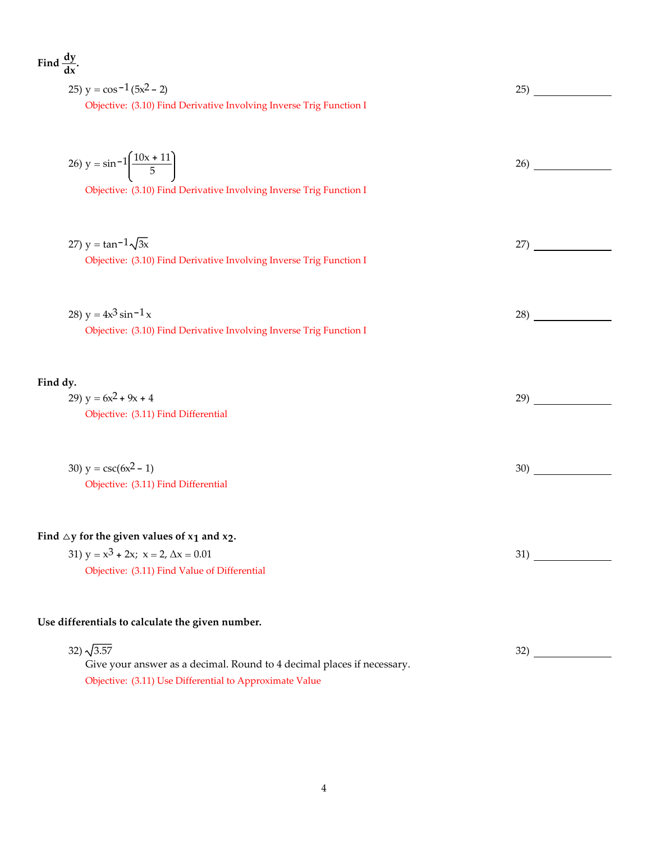| Find $\frac{dy}{dx}$ .                                                                                                    |                                                  |
|---------------------------------------------------------------------------------------------------------------------------|--------------------------------------------------|
| 25) $y = cos^{-1}(5x^2 - 2)$                                                                                              | 25)<br><u>and the community of the community</u> |
| Objective: (3.10) Find Derivative Involving Inverse Trig Function I                                                       |                                                  |
| 26) $y = \sin^{-1}\left(\frac{10x + 11}{5}\right)$<br>Objective: (3.10) Find Derivative Involving Inverse Trig Function I | 26)                                              |
| 27) $y = \tan^{-1}\sqrt{3x}$                                                                                              | 27)                                              |
| Objective: (3.10) Find Derivative Involving Inverse Trig Function I                                                       |                                                  |
| 28) $y = 4x^3 \sin^{-1} x$<br>Objective: (3.10) Find Derivative Involving Inverse Trig Function I                         | 28)                                              |
| Find dy.                                                                                                                  |                                                  |
| 29) $y = 6x^2 + 9x + 4$                                                                                                   | 29)                                              |
| Objective: (3.11) Find Differential                                                                                       |                                                  |
| 30) $y = \csc(6x^2 - 1)$                                                                                                  | 30)                                              |
| Objective: (3.11) Find Differential                                                                                       |                                                  |
| Find $\triangle$ y for the given values of $x_1$ and $x_2$ .<br>31) $y = x^3 + 2x$ ; $x = 2$ , $\Delta x = 0.01$          | 31)                                              |
| Objective: (3.11) Find Value of Differential                                                                              |                                                  |
| Use differentials to calculate the given number.                                                                          |                                                  |
| 32) $\sqrt{3.57}$                                                                                                         | 32)                                              |
| Give your answer as a decimal. Round to 4 decimal places if necessary.                                                    |                                                  |

Objective: (3.11) Use Differential to Approximate Value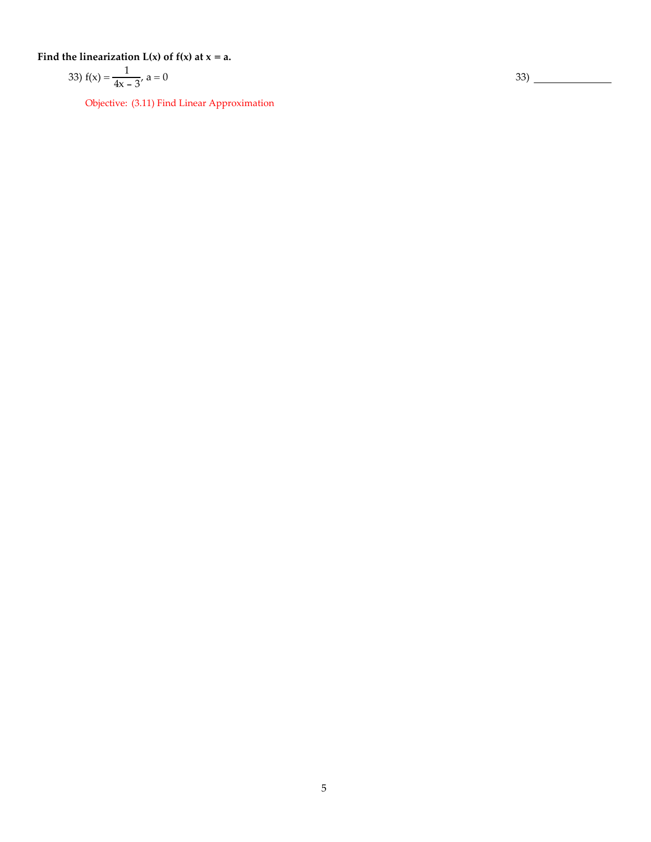Find the linearization  $L(x)$  of  $f(x)$  at  $x = a$ .

33) 
$$
f(x) = \frac{1}{4x - 3}, a = 0
$$

Objective: (3.11) Find Linear Approximation